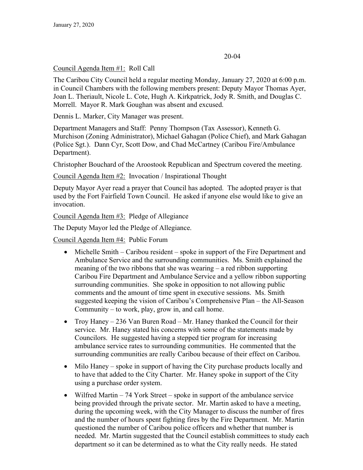## 20-04

## Council Agenda Item #1: Roll Call

The Caribou City Council held a regular meeting Monday, January 27, 2020 at 6:00 p.m. in Council Chambers with the following members present: Deputy Mayor Thomas Ayer, Joan L. Theriault, Nicole L. Cote, Hugh A. Kirkpatrick, Jody R. Smith, and Douglas C. Morrell. Mayor R. Mark Goughan was absent and excused.

Dennis L. Marker, City Manager was present.

Department Managers and Staff: Penny Thompson (Tax Assessor), Kenneth G. Murchison (Zoning Administrator), Michael Gahagan (Police Chief), and Mark Gahagan (Police Sgt.). Dann Cyr, Scott Dow, and Chad McCartney (Caribou Fire/Ambulance Department).

Christopher Bouchard of the Aroostook Republican and Spectrum covered the meeting.

Council Agenda Item #2: Invocation / Inspirational Thought

Deputy Mayor Ayer read a prayer that Council has adopted. The adopted prayer is that used by the Fort Fairfield Town Council. He asked if anyone else would like to give an invocation.

Council Agenda Item #3: Pledge of Allegiance

The Deputy Mayor led the Pledge of Allegiance.

Council Agenda Item #4: Public Forum

- Michelle Smith Caribou resident spoke in support of the Fire Department and Ambulance Service and the surrounding communities. Ms. Smith explained the meaning of the two ribbons that she was wearing – a red ribbon supporting Caribou Fire Department and Ambulance Service and a yellow ribbon supporting surrounding communities. She spoke in opposition to not allowing public comments and the amount of time spent in executive sessions. Ms. Smith suggested keeping the vision of Caribou's Comprehensive Plan – the All-Season Community – to work, play, grow in, and call home.
- Troy Haney 236 Van Buren Road Mr. Haney thanked the Council for their service. Mr. Haney stated his concerns with some of the statements made by Councilors. He suggested having a stepped tier program for increasing ambulance service rates to surrounding communities. He commented that the surrounding communities are really Caribou because of their effect on Caribou.
- Milo Haney spoke in support of having the City purchase products locally and to have that added to the City Charter. Mr. Haney spoke in support of the City using a purchase order system.
- Wilfred Martin 74 York Street spoke in support of the ambulance service being provided through the private sector. Mr. Martin asked to have a meeting, during the upcoming week, with the City Manager to discuss the number of fires and the number of hours spent fighting fires by the Fire Department. Mr. Martin questioned the number of Caribou police officers and whether that number is needed. Mr. Martin suggested that the Council establish committees to study each department so it can be determined as to what the City really needs. He stated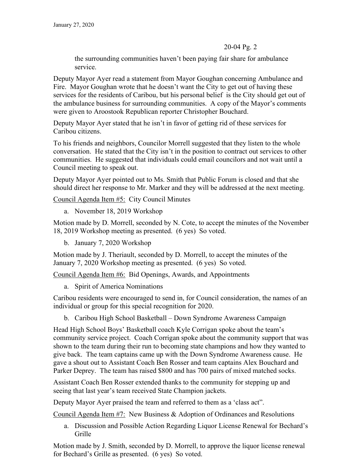the surrounding communities haven't been paying fair share for ambulance service.

Deputy Mayor Ayer read a statement from Mayor Goughan concerning Ambulance and Fire. Mayor Goughan wrote that he doesn't want the City to get out of having these services for the residents of Caribou, but his personal belief is the City should get out of the ambulance business for surrounding communities. A copy of the Mayor's comments were given to Aroostook Republican reporter Christopher Bouchard.

Deputy Mayor Ayer stated that he isn't in favor of getting rid of these services for Caribou citizens.

To his friends and neighbors, Councilor Morrell suggested that they listen to the whole conversation. He stated that the City isn't in the position to contract out services to other communities. He suggested that individuals could email councilors and not wait until a Council meeting to speak out.

Deputy Mayor Ayer pointed out to Ms. Smith that Public Forum is closed and that she should direct her response to Mr. Marker and they will be addressed at the next meeting.

Council Agenda Item #5: City Council Minutes

a. November 18, 2019 Workshop

Motion made by D. Morrell, seconded by N. Cote, to accept the minutes of the November 18, 2019 Workshop meeting as presented. (6 yes) So voted.

b. January 7, 2020 Workshop

Motion made by J. Theriault, seconded by D. Morrell, to accept the minutes of the January 7, 2020 Workshop meeting as presented. (6 yes) So voted.

Council Agenda Item #6: Bid Openings, Awards, and Appointments

a. Spirit of America Nominations

Caribou residents were encouraged to send in, for Council consideration, the names of an individual or group for this special recognition for 2020.

b. Caribou High School Basketball – Down Syndrome Awareness Campaign

Head High School Boys' Basketball coach Kyle Corrigan spoke about the team's community service project. Coach Corrigan spoke about the community support that was shown to the team during their run to becoming state champions and how they wanted to give back. The team captains came up with the Down Syndrome Awareness cause. He gave a shout out to Assistant Coach Ben Rosser and team captains Alex Bouchard and Parker Deprey. The team has raised \$800 and has 700 pairs of mixed matched socks.

Assistant Coach Ben Rosser extended thanks to the community for stepping up and seeing that last year's team received State Champion jackets.

Deputy Mayor Ayer praised the team and referred to them as a 'class act".

Council Agenda Item #7: New Business & Adoption of Ordinances and Resolutions

a. Discussion and Possible Action Regarding Liquor License Renewal for Bechard's Grille

Motion made by J. Smith, seconded by D. Morrell, to approve the liquor license renewal for Bechard's Grille as presented. (6 yes) So voted.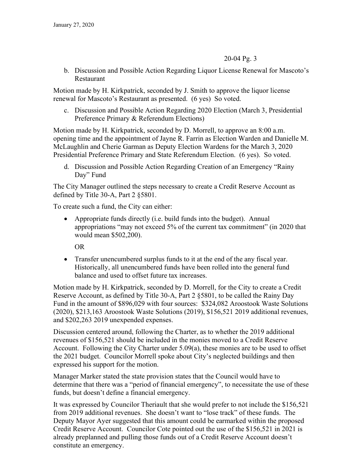b. Discussion and Possible Action Regarding Liquor License Renewal for Mascoto's Restaurant

Motion made by H. Kirkpatrick, seconded by J. Smith to approve the liquor license renewal for Mascoto's Restaurant as presented. (6 yes) So voted.

c. Discussion and Possible Action Regarding 2020 Election (March 3, Presidential Preference Primary & Referendum Elections)

Motion made by H. Kirkpatrick, seconded by D. Morrell, to approve an 8:00 a.m. opening time and the appointment of Jayne R. Farrin as Election Warden and Danielle M. McLaughlin and Cherie Garman as Deputy Election Wardens for the March 3, 2020 Presidential Preference Primary and State Referendum Election. (6 yes). So voted.

d. Discussion and Possible Action Regarding Creation of an Emergency "Rainy Day" Fund

The City Manager outlined the steps necessary to create a Credit Reserve Account as defined by Title 30-A, Part 2 §5801.

To create such a fund, the City can either:

• Appropriate funds directly (i.e. build funds into the budget). Annual appropriations "may not exceed 5% of the current tax commitment" (in 2020 that would mean \$502,200).

OR

 Transfer unencumbered surplus funds to it at the end of the any fiscal year. Historically, all unencumbered funds have been rolled into the general fund balance and used to offset future tax increases.

Motion made by H. Kirkpatrick, seconded by D. Morrell, for the City to create a Credit Reserve Account, as defined by Title 30-A, Part 2 §5801, to be called the Rainy Day Fund in the amount of \$896,029 with four sources: \$324,082 Aroostook Waste Solutions (2020), \$213,163 Aroostook Waste Solutions (2019), \$156,521 2019 additional revenues, and \$202,263 2019 unexpended expenses.

Discussion centered around, following the Charter, as to whether the 2019 additional revenues of \$156,521 should be included in the monies moved to a Credit Reserve Account. Following the City Charter under 5.09(a), these monies are to be used to offset the 2021 budget. Councilor Morrell spoke about City's neglected buildings and then expressed his support for the motion.

Manager Marker stated the state provision states that the Council would have to determine that there was a "period of financial emergency", to necessitate the use of these funds, but doesn't define a financial emergency.

It was expressed by Councilor Theriault that she would prefer to not include the \$156,521 from 2019 additional revenues. She doesn't want to "lose track" of these funds. The Deputy Mayor Ayer suggested that this amount could be earmarked within the proposed Credit Reserve Account. Councilor Cote pointed out the use of the \$156,521 in 2021 is already preplanned and pulling those funds out of a Credit Reserve Account doesn't constitute an emergency.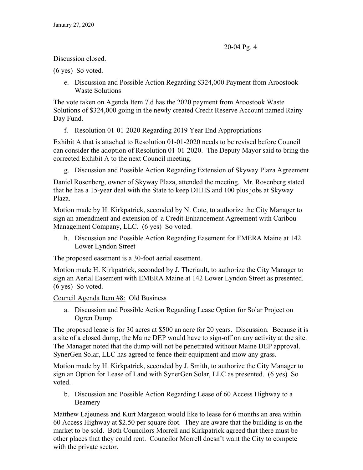Discussion closed.

(6 yes) So voted.

e. Discussion and Possible Action Regarding \$324,000 Payment from Aroostook Waste Solutions

The vote taken on Agenda Item 7.d has the 2020 payment from Aroostook Waste Solutions of \$324,000 going in the newly created Credit Reserve Account named Rainy Day Fund.

f. Resolution 01-01-2020 Regarding 2019 Year End Appropriations

Exhibit A that is attached to Resolution 01-01-2020 needs to be revised before Council can consider the adoption of Resolution 01-01-2020. The Deputy Mayor said to bring the corrected Exhibit A to the next Council meeting.

g. Discussion and Possible Action Regarding Extension of Skyway Plaza Agreement

Daniel Rosenberg, owner of Skyway Plaza, attended the meeting. Mr. Rosenberg stated that he has a 15-year deal with the State to keep DHHS and 100 plus jobs at Skyway Plaza.

Motion made by H. Kirkpatrick, seconded by N. Cote, to authorize the City Manager to sign an amendment and extension of a Credit Enhancement Agreement with Caribou Management Company, LLC. (6 yes) So voted.

h. Discussion and Possible Action Regarding Easement for EMERA Maine at 142 Lower Lyndon Street

The proposed easement is a 30-foot aerial easement.

Motion made H. Kirkpatrick, seconded by J. Theriault, to authorize the City Manager to sign an Aerial Easement with EMERA Maine at 142 Lower Lyndon Street as presented. (6 yes) So voted.

Council Agenda Item #8: Old Business

a. Discussion and Possible Action Regarding Lease Option for Solar Project on Ogren Dump

The proposed lease is for 30 acres at \$500 an acre for 20 years. Discussion. Because it is a site of a closed dump, the Maine DEP would have to sign-off on any activity at the site. The Manager noted that the dump will not be penetrated without Maine DEP approval. SynerGen Solar, LLC has agreed to fence their equipment and mow any grass.

Motion made by H. Kirkpatrick, seconded by J. Smith, to authorize the City Manager to sign an Option for Lease of Land with SynerGen Solar, LLC as presented. (6 yes) So voted.

b. Discussion and Possible Action Regarding Lease of 60 Access Highway to a Beamery

Matthew Lajeuness and Kurt Margeson would like to lease for 6 months an area within 60 Access Highway at \$2.50 per square foot. They are aware that the building is on the market to be sold. Both Councilors Morrell and Kirkpatrick agreed that there must be other places that they could rent. Councilor Morrell doesn't want the City to compete with the private sector.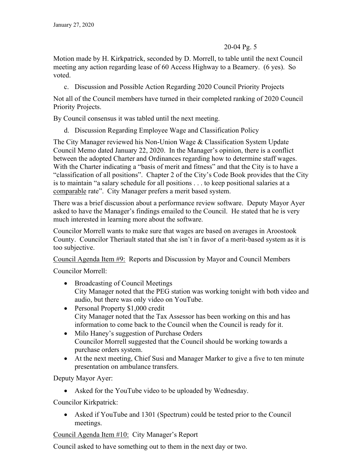Motion made by H. Kirkpatrick, seconded by D. Morrell, to table until the next Council meeting any action regarding lease of 60 Access Highway to a Beamery. (6 yes). So voted.

c. Discussion and Possible Action Regarding 2020 Council Priority Projects

Not all of the Council members have turned in their completed ranking of 2020 Council Priority Projects.

By Council consensus it was tabled until the next meeting.

d. Discussion Regarding Employee Wage and Classification Policy

The City Manager reviewed his Non-Union Wage & Classification System Update Council Memo dated January 22, 2020. In the Manager's opinion, there is a conflict between the adopted Charter and Ordinances regarding how to determine staff wages. With the Charter indicating a "basis of merit and fitness" and that the City is to have a "classification of all positions". Chapter 2 of the City's Code Book provides that the City is to maintain "a salary schedule for all positions . . . to keep positional salaries at a comparable rate". City Manager prefers a merit based system.

There was a brief discussion about a performance review software. Deputy Mayor Ayer asked to have the Manager's findings emailed to the Council. He stated that he is very much interested in learning more about the software.

Councilor Morrell wants to make sure that wages are based on averages in Aroostook County. Councilor Theriault stated that she isn't in favor of a merit-based system as it is too subjective.

Council Agenda Item #9: Reports and Discussion by Mayor and Council Members

Councilor Morrell:

- Broadcasting of Council Meetings City Manager noted that the PEG station was working tonight with both video and audio, but there was only video on YouTube.
- Personal Property \$1,000 credit City Manager noted that the Tax Assessor has been working on this and has information to come back to the Council when the Council is ready for it.
- Milo Haney's suggestion of Purchase Orders Councilor Morrell suggested that the Council should be working towards a purchase orders system.
- At the next meeting, Chief Susi and Manager Marker to give a five to ten minute presentation on ambulance transfers.

Deputy Mayor Ayer:

• Asked for the YouTube video to be uploaded by Wednesday.

Councilor Kirkpatrick:

 Asked if YouTube and 1301 (Spectrum) could be tested prior to the Council meetings.

Council Agenda Item #10: City Manager's Report

Council asked to have something out to them in the next day or two.